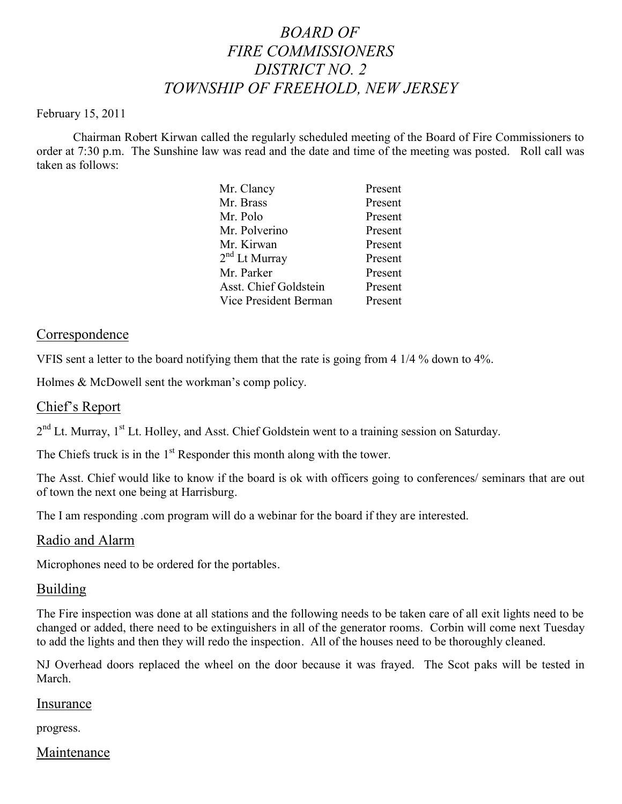# *BOARD OF FIRE COMMISSIONERS DISTRICT NO. 2 TOWNSHIP OF FREEHOLD, NEW JERSEY*

#### February 15, 2011

Chairman Robert Kirwan called the regularly scheduled meeting of the Board of Fire Commissioners to order at 7:30 p.m. The Sunshine law was read and the date and time of the meeting was posted. Roll call was taken as follows:

| Mr. Clancy                | Present |
|---------------------------|---------|
| Mr. Brass                 | Present |
| Mr. Polo                  | Present |
| Mr. Polverino             | Present |
| Mr. Kirwan                | Present |
| 2 <sup>nd</sup> Lt Murray | Present |
| Mr. Parker                | Present |
| Asst. Chief Goldstein     | Present |
| Vice President Berman     | Present |
|                           |         |

## Correspondence

VFIS sent a letter to the board notifying them that the rate is going from 4 1/4 % down to 4%.

Holmes & McDowell sent the workman's comp policy.

## Chief's Report

2<sup>nd</sup> Lt. Murray, 1<sup>st</sup> Lt. Holley, and Asst. Chief Goldstein went to a training session on Saturday.

The Chiefs truck is in the  $1<sup>st</sup>$  Responder this month along with the tower.

The Asst. Chief would like to know if the board is ok with officers going to conferences/ seminars that are out of town the next one being at Harrisburg.

The I am responding .com program will do a webinar for the board if they are interested.

## Radio and Alarm

Microphones need to be ordered for the portables.

## Building

The Fire inspection was done at all stations and the following needs to be taken care of all exit lights need to be changed or added, there need to be extinguishers in all of the generator rooms. Corbin will come next Tuesday to add the lights and then they will redo the inspection. All of the houses need to be thoroughly cleaned.

NJ Overhead doors replaced the wheel on the door because it was frayed. The Scot paks will be tested in March.

#### Insurance

progress.

## Maintenance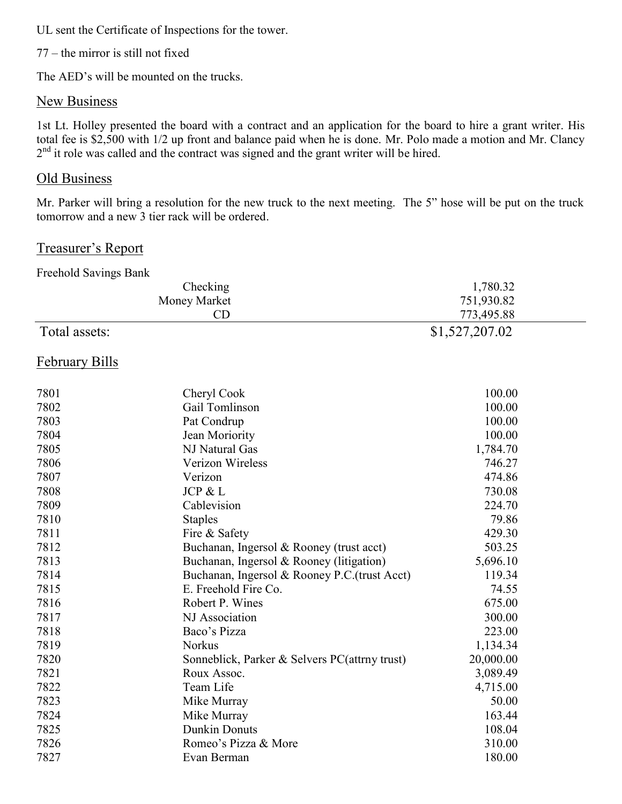UL sent the Certificate of Inspections for the tower.

– the mirror is still not fixed

The AED's will be mounted on the trucks.

## New Business

1st Lt. Holley presented the board with a contract and an application for the board to hire a grant writer. His total fee is \$2,500 with 1/2 up front and balance paid when he is done. Mr. Polo made a motion and Mr. Clancy  $2<sup>nd</sup>$  it role was called and the contract was signed and the grant writer will be hired.

# Old Business

Mr. Parker will bring a resolution for the new truck to the next meeting. The 5" hose will be put on the truck tomorrow and a new 3 tier rack will be ordered.

# Treasurer's Report

Freehold Savings Bank

| Checking<br>Money Market |                                               | 1,780.32<br>751,930.82 |  |
|--------------------------|-----------------------------------------------|------------------------|--|
|                          |                                               |                        |  |
|                          | CD                                            | 773,495.88             |  |
| Total assets:            |                                               | \$1,527,207.02         |  |
| <b>February Bills</b>    |                                               |                        |  |
| 7801                     | Cheryl Cook                                   | 100.00                 |  |
| 7802                     | Gail Tomlinson                                | 100.00                 |  |
| 7803                     | Pat Condrup                                   | 100.00                 |  |
| 7804                     | Jean Moriority                                | 100.00                 |  |
| 7805                     | NJ Natural Gas                                | 1,784.70               |  |
| 7806                     | Verizon Wireless                              | 746.27                 |  |
| 7807                     | Verizon                                       | 474.86                 |  |
| 7808                     | JCP & L                                       | 730.08                 |  |
| 7809                     | Cablevision                                   | 224.70                 |  |
| 7810                     | <b>Staples</b>                                | 79.86                  |  |
| 7811                     | Fire & Safety                                 | 429.30                 |  |
| 7812                     | Buchanan, Ingersol & Rooney (trust acct)      | 503.25                 |  |
| 7813                     | Buchanan, Ingersol & Rooney (litigation)      | 5,696.10               |  |
| 7814                     | Buchanan, Ingersol & Rooney P.C.(trust Acct)  | 119.34                 |  |
| 7815                     | E. Freehold Fire Co.                          | 74.55                  |  |
| 7816                     | Robert P. Wines                               | 675.00                 |  |
| 7817                     | NJ Association                                | 300.00                 |  |
| 7818                     | Baco's Pizza                                  | 223.00                 |  |
| 7819                     | <b>Norkus</b>                                 | 1,134.34               |  |
| 7820                     | Sonneblick, Parker & Selvers PC(attrny trust) | 20,000.00              |  |
| 7821                     | Roux Assoc.                                   | 3,089.49               |  |
| 7822                     | Team Life                                     | 4,715.00               |  |
| 7823                     | Mike Murray                                   | 50.00                  |  |
| 7824                     | Mike Murray                                   | 163.44                 |  |
| 7825                     | <b>Dunkin Donuts</b>                          | 108.04                 |  |
| 7826                     | Romeo's Pizza & More                          | 310.00                 |  |
| 7827                     | Evan Berman                                   | 180.00                 |  |